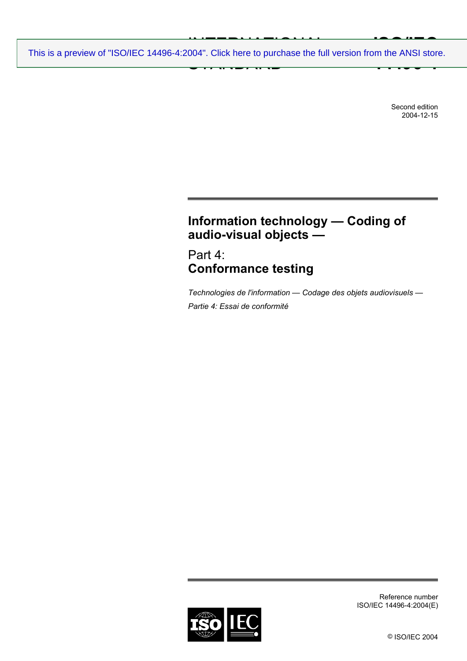INTERNATIONAL PRODUCTION<br>004" Click bere to purchase the full  $\frac{1}{2}$  STANDARD C pulses **ISO/IEC 14496-4** [This is a preview of "ISO/IEC 14496-4:2004". Click here to purchase the full version from the ANSI store.](https://webstore.ansi.org/Standards/ISO/ISOIEC144962004-1112794?source=preview)

> Second edition 2004-12-15

# **Information technology — Coding of audio-visual objects —**

Part 4: **Conformance testing** 

*Technologies de l'information — Codage des objets audiovisuels — Partie 4: Essai de conformité* 



Reference number ISO/IEC 14496-4:2004(E)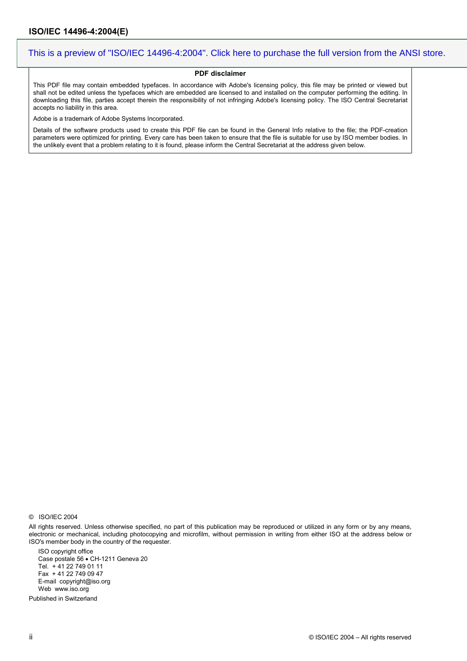#### **PDF disclaimer**

This PDF file may contain embedded typefaces. In accordance with Adobe's licensing policy, this file may be printed or viewed but shall not be edited unless the typefaces which are embedded are licensed to and installed on the computer performing the editing. In downloading this file, parties accept therein the responsibility of not infringing Adobe's licensing policy. The ISO Central Secretariat accepts no liability in this area.

Adobe is a trademark of Adobe Systems Incorporated.

Details of the software products used to create this PDF file can be found in the General Info relative to the file; the PDF-creation parameters were optimized for printing. Every care has been taken to ensure that the file is suitable for use by ISO member bodies. In the unlikely event that a problem relating to it is found, please inform the Central Secretariat at the address given below.

All rights reserved. Unless otherwise specified, no part of this publication may be reproduced or utilized in any form or by any means, electronic or mechanical, including photocopying and microfilm, without permission in writing from either ISO at the address below or ISO's member body in the country of the requester.

ISO copyright office Case postale 56 • CH-1211 Geneva 20 Tel. + 41 22 749 01 11 Fax + 41 22 749 09 47 E-mail copyright@iso.org Web www.iso.org

Published in Switzerland

<sup>©</sup> ISO/IEC 2004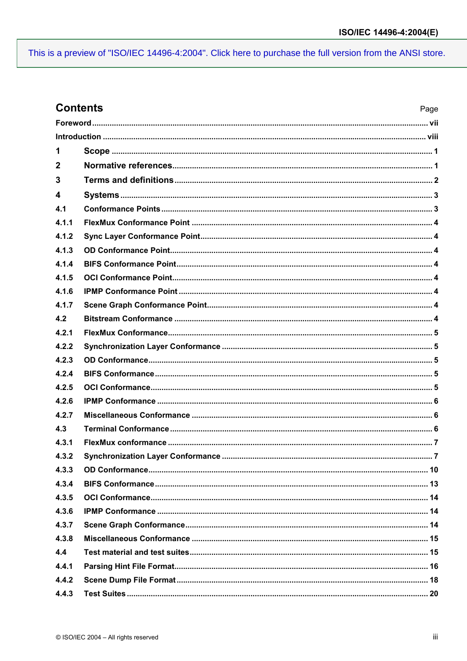## **Contents**

| 1           |  |  |  |  |
|-------------|--|--|--|--|
| $\mathbf 2$ |  |  |  |  |
| 3           |  |  |  |  |
| 4           |  |  |  |  |
| 4.1         |  |  |  |  |
| 4.1.1       |  |  |  |  |
| 4.1.2       |  |  |  |  |
| 4.1.3       |  |  |  |  |
| 4.1.4       |  |  |  |  |
| 4.1.5       |  |  |  |  |
| 4.1.6       |  |  |  |  |
| 4.1.7       |  |  |  |  |
| 4.2         |  |  |  |  |
| 4.2.1       |  |  |  |  |
| 4.2.2       |  |  |  |  |
| 4.2.3       |  |  |  |  |
| 4.2.4       |  |  |  |  |
| 4.2.5       |  |  |  |  |
| 4.2.6       |  |  |  |  |
| 4.2.7       |  |  |  |  |
| 4.3         |  |  |  |  |
| 4.3.1       |  |  |  |  |
| 4.3.2       |  |  |  |  |
| 4.3.3       |  |  |  |  |
| 4.3.4       |  |  |  |  |
| 4.3.5       |  |  |  |  |
| 4.3.6       |  |  |  |  |
| 4.3.7       |  |  |  |  |
| 4.3.8       |  |  |  |  |
| 4.4         |  |  |  |  |
| 4.4.1       |  |  |  |  |
| 4.4.2       |  |  |  |  |
| 4.4.3       |  |  |  |  |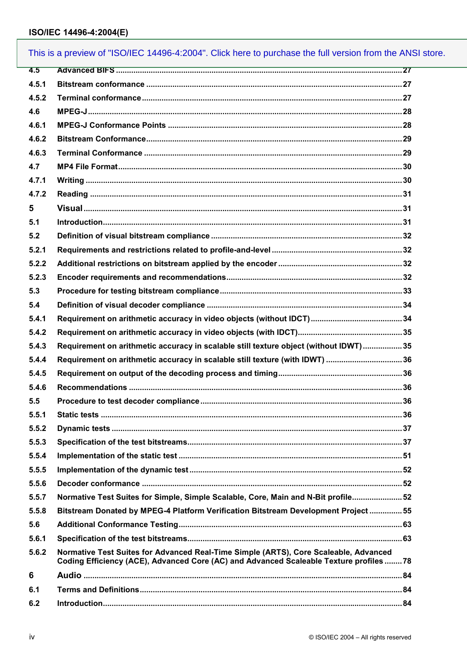|       | This is a preview of "ISO/IEC 14496-4:2004". Click here to purchase the full version from the ANSI store.                                                                      |  |
|-------|--------------------------------------------------------------------------------------------------------------------------------------------------------------------------------|--|
| 4.5   |                                                                                                                                                                                |  |
| 4.5.1 |                                                                                                                                                                                |  |
| 4.5.2 |                                                                                                                                                                                |  |
| 4.6   |                                                                                                                                                                                |  |
| 4.6.1 |                                                                                                                                                                                |  |
| 4.6.2 |                                                                                                                                                                                |  |
| 4.6.3 |                                                                                                                                                                                |  |
| 4.7   |                                                                                                                                                                                |  |
| 4.7.1 |                                                                                                                                                                                |  |
| 4.7.2 |                                                                                                                                                                                |  |
| 5     |                                                                                                                                                                                |  |
| 5.1   |                                                                                                                                                                                |  |
| 5.2   |                                                                                                                                                                                |  |
| 5.2.1 |                                                                                                                                                                                |  |
| 5.2.2 |                                                                                                                                                                                |  |
| 5.2.3 |                                                                                                                                                                                |  |
| 5.3   |                                                                                                                                                                                |  |
| 5.4   |                                                                                                                                                                                |  |
| 5.4.1 |                                                                                                                                                                                |  |
| 5.4.2 |                                                                                                                                                                                |  |
| 5.4.3 | Requirement on arithmetic accuracy in scalable still texture object (without IDWT)35                                                                                           |  |
| 5.4.4 | Requirement on arithmetic accuracy in scalable still texture (with IDWT) 36                                                                                                    |  |
| 5.4.5 |                                                                                                                                                                                |  |
| 5.4.6 |                                                                                                                                                                                |  |
| 5.5   |                                                                                                                                                                                |  |
| 5.5.1 |                                                                                                                                                                                |  |
| 5.5.2 |                                                                                                                                                                                |  |
| 5.5.3 |                                                                                                                                                                                |  |
| 5.5.4 |                                                                                                                                                                                |  |
| 5.5.5 |                                                                                                                                                                                |  |
| 5.5.6 |                                                                                                                                                                                |  |
| 5.5.7 | Normative Test Suites for Simple, Simple Scalable, Core, Main and N-Bit profile 52                                                                                             |  |
| 5.5.8 | Bitstream Donated by MPEG-4 Platform Verification Bitstream Development Project 55                                                                                             |  |
| 5.6   |                                                                                                                                                                                |  |
| 5.6.1 |                                                                                                                                                                                |  |
| 5.6.2 | Normative Test Suites for Advanced Real-Time Simple (ARTS), Core Scaleable, Advanced<br>Coding Efficiency (ACE), Advanced Core (AC) and Advanced Scaleable Texture profiles 78 |  |
| 6     |                                                                                                                                                                                |  |
| 6.1   |                                                                                                                                                                                |  |
| 6.2   |                                                                                                                                                                                |  |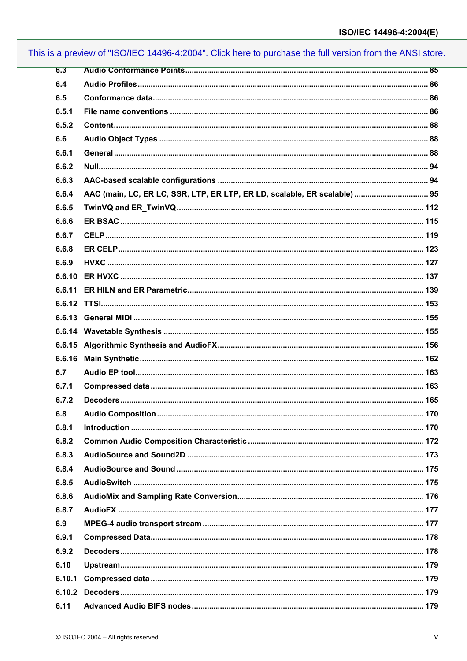| 6.3    |                                                                           |  |
|--------|---------------------------------------------------------------------------|--|
| 6.4    |                                                                           |  |
| 6.5    |                                                                           |  |
| 6.5.1  |                                                                           |  |
| 6.5.2  |                                                                           |  |
| 6.6    |                                                                           |  |
| 6.6.1  |                                                                           |  |
| 6.6.2  |                                                                           |  |
| 6.6.3  |                                                                           |  |
| 6.6.4  | AAC (main, LC, ER LC, SSR, LTP, ER LTP, ER LD, scalable, ER scalable)  95 |  |
| 6.6.5  |                                                                           |  |
| 6.6.6  |                                                                           |  |
| 6.6.7  |                                                                           |  |
| 6.6.8  |                                                                           |  |
| 6.6.9  |                                                                           |  |
|        |                                                                           |  |
|        |                                                                           |  |
|        |                                                                           |  |
|        |                                                                           |  |
|        |                                                                           |  |
|        |                                                                           |  |
| 6.6.16 |                                                                           |  |
| 6.7    |                                                                           |  |
| 6.7.1  |                                                                           |  |
| 6.7.2  |                                                                           |  |
| 6.8    |                                                                           |  |
| 6.8.1  |                                                                           |  |
| 6.8.2  |                                                                           |  |
| 6.8.3  |                                                                           |  |
| 6.8.4  |                                                                           |  |
| 6.8.5  |                                                                           |  |
| 6.8.6  |                                                                           |  |
| 6.8.7  |                                                                           |  |
| 6.9    |                                                                           |  |
| 6.9.1  |                                                                           |  |
| 6.9.2  |                                                                           |  |
| 6.10   |                                                                           |  |
| 6.10.1 |                                                                           |  |
|        |                                                                           |  |
| 6.11   |                                                                           |  |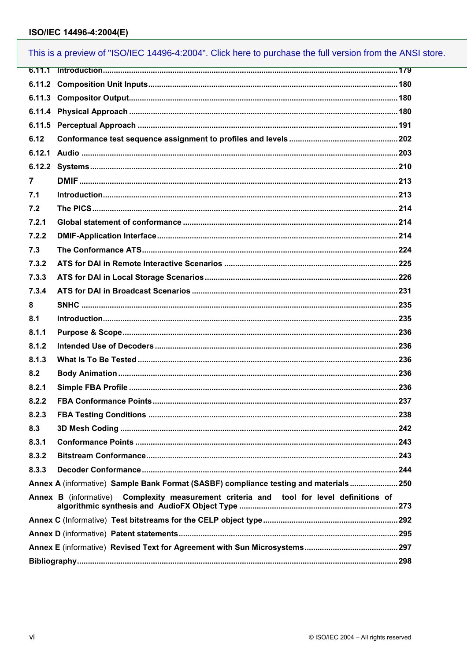|       | This is a preview of "ISO/IEC 14496-4:2004". Click here to purchase the full version from the ANSI store. |  |
|-------|-----------------------------------------------------------------------------------------------------------|--|
|       |                                                                                                           |  |
|       |                                                                                                           |  |
|       |                                                                                                           |  |
|       |                                                                                                           |  |
|       |                                                                                                           |  |
| 6.12  |                                                                                                           |  |
|       |                                                                                                           |  |
|       |                                                                                                           |  |
| 7     |                                                                                                           |  |
| 7.1   |                                                                                                           |  |
| 7.2   |                                                                                                           |  |
| 7.2.1 |                                                                                                           |  |
| 7.2.2 |                                                                                                           |  |
| 7.3   |                                                                                                           |  |
| 7.3.2 |                                                                                                           |  |
| 7.3.3 |                                                                                                           |  |
| 7.3.4 |                                                                                                           |  |
| 8     |                                                                                                           |  |
| 8.1   |                                                                                                           |  |
| 8.1.1 |                                                                                                           |  |
| 8.1.2 |                                                                                                           |  |
| 8.1.3 |                                                                                                           |  |
| 8.2   |                                                                                                           |  |
| 8.2.1 |                                                                                                           |  |
| 8.2.2 |                                                                                                           |  |
| 8.2.3 |                                                                                                           |  |
| 8.3   |                                                                                                           |  |
| 8.3.1 |                                                                                                           |  |
| 8.3.2 |                                                                                                           |  |
| 8.3.3 |                                                                                                           |  |
|       | Annex A (informative) Sample Bank Format (SASBF) compliance testing and materials250                      |  |
|       | Annex B (informative) Complexity measurement criteria and tool for level definitions of                   |  |
|       |                                                                                                           |  |
|       |                                                                                                           |  |
|       |                                                                                                           |  |
|       |                                                                                                           |  |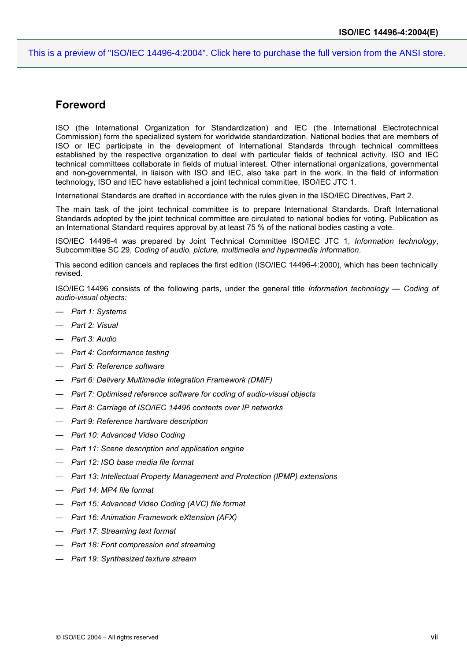#### **Foreword**

ISO (the International Organization for Standardization) and IEC (the International Electrotechnical Commission) form the specialized system for worldwide standardization. National bodies that are members of ISO or IEC participate in the development of International Standards through technical committees established by the respective organization to deal with particular fields of technical activity. ISO and IEC technical committees collaborate in fields of mutual interest. Other international organizations, governmental and non-governmental, in liaison with ISO and IEC, also take part in the work. In the field of information technology, ISO and IEC have established a joint technical committee, ISO/IEC JTC 1.

International Standards are drafted in accordance with the rules given in the ISO/IEC Directives, Part 2.

The main task of the joint technical committee is to prepare International Standards. Draft International Standards adopted by the joint technical committee are circulated to national bodies for voting. Publication as an International Standard requires approval by at least 75 % of the national bodies casting a vote.

ISO/IEC 14496-4 was prepared by Joint Technical Committee ISO/IEC JTC 1, *Information technology*, Subcommittee SC 29, *Coding of audio, picture, multimedia and hypermedia information*.

This second edition cancels and replaces the first edition (ISO/IEC 14496-4:2000), which has been technically revised.

ISO/IEC 14496 consists of the following parts, under the general title *Information technology — Coding of audio-visual objects:* 

- *Part 1: Systems*
- *Part 2: Visual*
- *Part 3: Audio*
- *Part 4: Conformance testing*
- *Part 5: Reference software*
- *Part 6: Delivery Multimedia Integration Framework (DMIF)*
- *Part 7: Optimised reference software for coding of audio-visual objects*
- *Part 8: Carriage of ISO/IEC 14496 contents over IP networks*
- *Part 9: Reference hardware description*
- *Part 10: Advanced Video Coding*
- *Part 11: Scene description and application engine*
- *Part 12: ISO base media file format*
- *Part 13: Intellectual Property Management and Protection (IPMP) extensions*
- *Part 14: MP4 file format*
- *Part 15: Advanced Video Coding (AVC) file format*
- *Part 16: Animation Framework eXtension (AFX)*
- *Part 17: Streaming text format*
- *Part 18: Font compression and streaming*
- *Part 19: Synthesized texture stream*